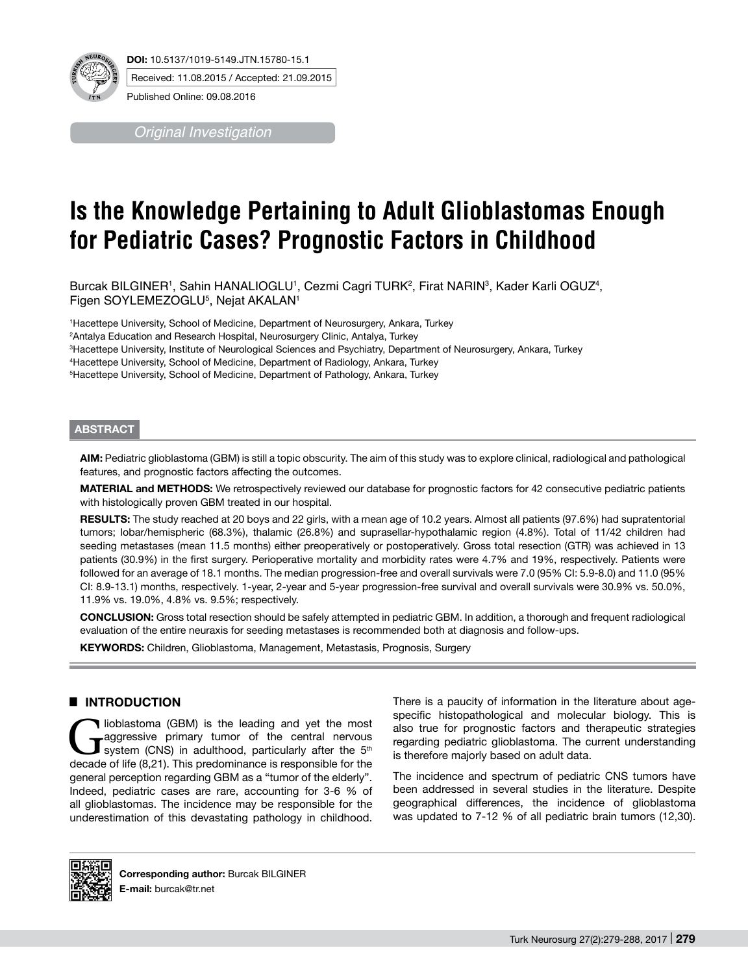

**DOI:** 10.5137/1019-5149.JTN.15780-15.1 Received: 11.08.2015 / Accepted: 21.09.2015

*Original Investigation*

Published Online: 09.08.2016

# **Is the Knowledge Pertaining to Adult Glioblastomas Enough for Pediatric Cases? Prognostic Factors in Childhood**

Burcak BILGINER', Sahin HANALIOGLU', Cezmi Cagri TURK<sup>2</sup>, Firat NARIN<sup>3</sup>, Kader Karli OGUZ<del>'</del>, Figen SOYLEMEZOGLU5 , Nejat AKALAN1

1 Hacettepe University, School of Medicine, Department of Neurosurgery, Ankara, Turkey

2 Antalya Education and Research Hospital, Neurosurgery Clinic, Antalya, Turkey

3 Hacettepe University, Institute of Neurological Sciences and Psychiatry, Department of Neurosurgery, Ankara, Turkey

4 Hacettepe University, School of Medicine, Department of Radiology, Ankara, Turkey

5 Hacettepe University, School of Medicine, Department of Pathology, Ankara, Turkey

## **ABSTRACT**

**AIm:** Pediatric glioblastoma (GBM) is still a topic obscurity. The aim of this study was to explore clinical, radiological and pathological features, and prognostic factors affecting the outcomes.

**MaterIal and Methods:** We retrospectively reviewed our database for prognostic factors for 42 consecutive pediatric patients with histologically proven GBM treated in our hospital.

RESULTS: The study reached at 20 boys and 22 girls, with a mean age of 10.2 years. Almost all patients (97.6%) had supratentorial tumors; lobar/hemispheric (68.3%), thalamic (26.8%) and suprasellar-hypothalamic region (4.8%). Total of 11/42 children had seeding metastases (mean 11.5 months) either preoperatively or postoperatively. Gross total resection (GTR) was achieved in 13 patients (30.9%) in the first surgery. Perioperative mortality and morbidity rates were 4.7% and 19%, respectively. Patients were followed for an average of 18.1 months. The median progression-free and overall survivals were 7.0 (95% CI: 5.9-8.0) and 11.0 (95% CI: 8.9-13.1) months, respectively. 1-year, 2-year and 5-year progression-free survival and overall survivals were 30.9% vs. 50.0%, 11.9% vs. 19.0%, 4.8% vs. 9.5%; respectively.

**ConclusIon:** Gross total resection should be safely attempted in pediatric GBM. In addition, a thorough and frequent radiological evaluation of the entire neuraxis for seeding metastases is recommended both at diagnosis and follow-ups.

**Keywords:** Children, Glioblastoma, Management, Metastasis, Prognosis, Surgery

# █ **Introduction**

**GRM)** is the leading and yet the most<br>
system (CNS) in adulthood, particularly after the 5<sup>th</sup><br>
decade of life (8.21). This predominance is responsible for the aggressive primary tumor of the central nervous decade of life (8,21). This predominance is responsible for the general perception regarding GBM as a "tumor of the elderly". Indeed, pediatric cases are rare, accounting for 3-6 % of all glioblastomas. The incidence may be responsible for the underestimation of this devastating pathology in childhood.

There is a paucity of information in the literature about agespecific histopathological and molecular biology. This is also true for prognostic factors and therapeutic strategies regarding pediatric glioblastoma. The current understanding is therefore majorly based on adult data.

The incidence and spectrum of pediatric CNS tumors have been addressed in several studies in the literature. Despite geographical differences, the incidence of glioblastoma was updated to 7-12 % of all pediatric brain tumors (12,30).

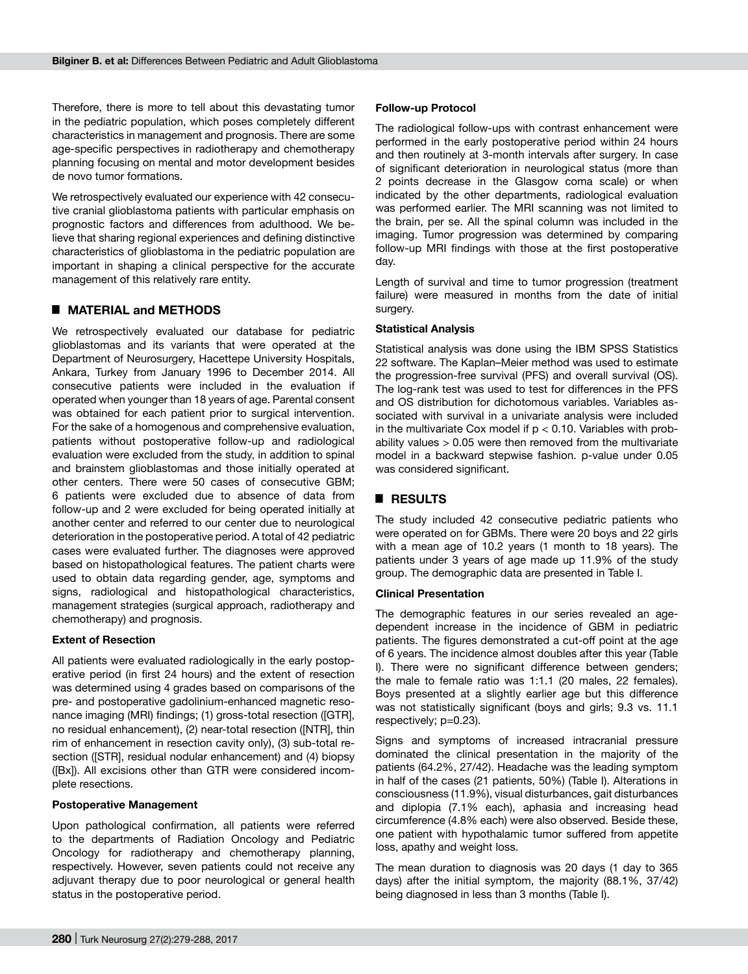Therefore, there is more to tell about this devastating tumor in the pediatric population, which poses completely different characteristics in management and prognosis. There are some age-specific perspectives in radiotherapy and chemotherapy planning focusing on mental and motor development besides de novo tumor formations.

We retrospectively evaluated our experience with 42 consecutive cranial glioblastoma patients with particular emphasis on prognostic factors and differences from adulthood. We believe that sharing regional experiences and defining distinctive characteristics of glioblastoma in the pediatric population are important in shaping a clinical perspective for the accurate management of this relatively rare entity.

## █ **Material and methodS**

We retrospectively evaluated our database for pediatric glioblastomas and its variants that were operated at the Department of Neurosurgery, Hacettepe University Hospitals, Ankara, Turkey from January 1996 to December 2014. All consecutive patients were included in the evaluation if operated when younger than 18 years of age. Parental consent was obtained for each patient prior to surgical intervention. For the sake of a homogenous and comprehensive evaluation, patients without postoperative follow-up and radiological evaluation were excluded from the study, in addition to spinal and brainstem glioblastomas and those initially operated at other centers. There were 50 cases of consecutive GBM; 6 patients were excluded due to absence of data from follow-up and 2 were excluded for being operated initially at another center and referred to our center due to neurological deterioration in the postoperative period. A total of 42 pediatric cases were evaluated further. The diagnoses were approved based on histopathological features. The patient charts were used to obtain data regarding gender, age, symptoms and signs, radiological and histopathological characteristics, management strategies (surgical approach, radiotherapy and chemotherapy) and prognosis.

#### **Extent of Resection**

All patients were evaluated radiologically in the early postoperative period (in first 24 hours) and the extent of resection was determined using 4 grades based on comparisons of the pre- and postoperative gadolinium-enhanced magnetic resonance imaging (MRI) findings; (1) gross-total resection ([GTR], no residual enhancement), (2) near-total resection ([NTR], thin rim of enhancement in resection cavity only), (3) sub-total resection ([STR], residual nodular enhancement) and (4) biopsy ([Bx]). All excisions other than GTR were considered incomplete resections.

#### **Postoperative Management**

Upon pathological confirmation, all patients were referred to the departments of Radiation Oncology and Pediatric Oncology for radiotherapy and chemotherapy planning, respectively. However, seven patients could not receive any adjuvant therapy due to poor neurological or general health status in the postoperative period.

#### **Follow-up Protocol**

The radiological follow-ups with contrast enhancement were performed in the early postoperative period within 24 hours and then routinely at 3-month intervals after surgery. In case of significant deterioration in neurological status (more than 2 points decrease in the Glasgow coma scale) or when indicated by the other departments, radiological evaluation was performed earlier. The MRI scanning was not limited to the brain, per se. All the spinal column was included in the imaging. Tumor progression was determined by comparing follow-up MRI findings with those at the first postoperative day.

Length of survival and time to tumor progression (treatment failure) were measured in months from the date of initial surgery.

#### **Statistical Analysis**

Statistical analysis was done using the IBM SPSS Statistics 22 software. The Kaplan–Meier method was used to estimate the progression-free survival (PFS) and overall survival (OS). The log-rank test was used to test for differences in the PFS and OS distribution for dichotomous variables. Variables associated with survival in a univariate analysis were included in the multivariate Cox model if  $p < 0.10$ . Variables with probability values > 0.05 were then removed from the multivariate model in a backward stepwise fashion. p-value under 0.05 was considered significant.

## █ **Results**

The study included 42 consecutive pediatric patients who were operated on for GBMs. There were 20 boys and 22 girls with a mean age of 10.2 years (1 month to 18 years). The patients under 3 years of age made up 11.9% of the study group. The demographic data are presented in Table I.

#### **Clinical Presentation**

The demographic features in our series revealed an agedependent increase in the incidence of GBM in pediatric patients. The figures demonstrated a cut-off point at the age of 6 years. The incidence almost doubles after this year (Table I). There were no significant difference between genders; the male to female ratio was 1:1.1 (20 males, 22 females). Boys presented at a slightly earlier age but this difference was not statistically significant (boys and girls; 9.3 vs. 11.1 respectively; p=0.23).

Signs and symptoms of increased intracranial pressure dominated the clinical presentation in the majority of the patients (64.2%, 27/42). Headache was the leading symptom in half of the cases (21 patients, 50%) (Table I). Alterations in consciousness (11.9%), visual disturbances, gait disturbances and diplopia (7.1% each), aphasia and increasing head circumference (4.8% each) were also observed. Beside these, one patient with hypothalamic tumor suffered from appetite loss, apathy and weight loss.

The mean duration to diagnosis was 20 days (1 day to 365 days) after the initial symptom, the majority (88.1%, 37/42) being diagnosed in less than 3 months (Table I).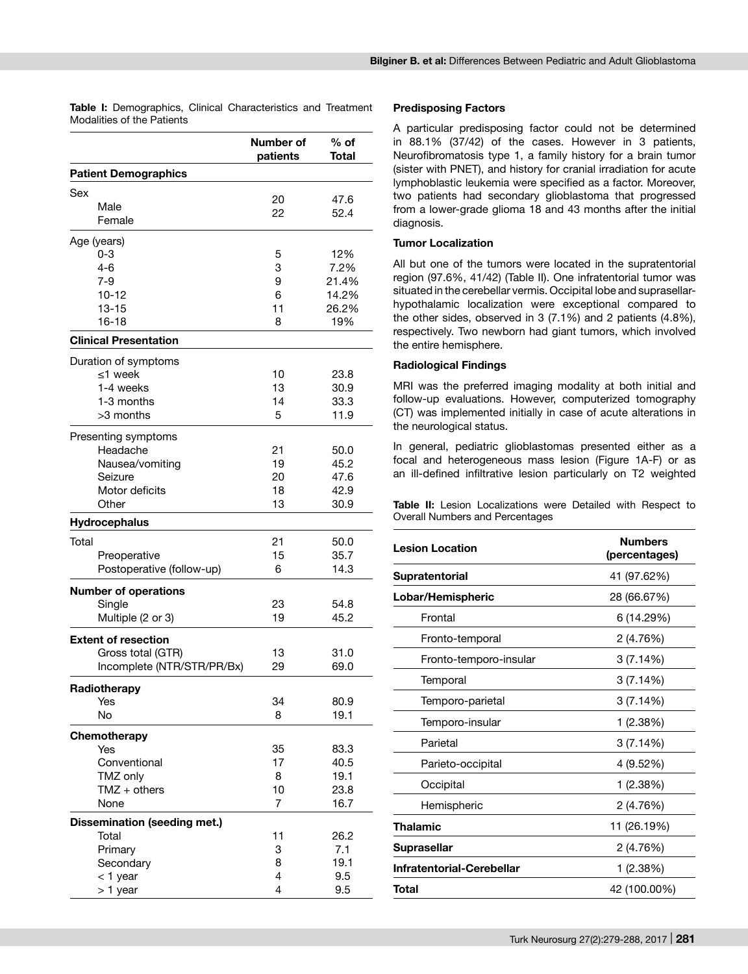| Modalities of the Patients                                                                       |                                       |                                               |
|--------------------------------------------------------------------------------------------------|---------------------------------------|-----------------------------------------------|
|                                                                                                  | Number of<br>patients                 | % of<br>Total                                 |
| <b>Patient Demographics</b>                                                                      |                                       |                                               |
| Sex<br>Male<br>Female                                                                            | 20<br>22                              | 47.6<br>52.4                                  |
| Age (years)<br>$0 - 3$<br>4-6<br>$7 - 9$<br>$10 - 12$<br>13-15<br>16-18                          | 5<br>3<br>9<br>6<br>11<br>8           | 12%<br>7.2%<br>21.4%<br>14.2%<br>26.2%<br>19% |
| <b>Clinical Presentation</b>                                                                     |                                       |                                               |
| Duration of symptoms<br>≤1 week<br>1-4 weeks<br>1-3 months<br>>3 months                          | 10<br>13<br>14<br>5                   | 23.8<br>30.9<br>33.3<br>11.9                  |
| Presenting symptoms<br>Headache<br>Nausea/vomiting<br>Seizure<br>Motor deficits<br>Other         | 21<br>19<br>20<br>18<br>13            | 50.0<br>45.2<br>47.6<br>42.9<br>30.9          |
| Hydrocephalus                                                                                    |                                       |                                               |
| Total<br>Preoperative<br>Postoperative (follow-up)                                               | 21<br>15<br>6                         | 50.0<br>35.7<br>14.3                          |
| <b>Number of operations</b><br>Single<br>Multiple (2 or 3)                                       | 23<br>19                              | 54.8<br>45.2                                  |
| <b>Extent of resection</b><br>Gross total (GTR)<br>Incomplete (NTR/STR/PR/Bx)                    | 13<br>29                              | 31.0<br>69.0                                  |
| Radiotherapy<br>Yes<br>No                                                                        | 34<br>8                               | 80.9<br>19.1                                  |
| Chemotherapy<br>Yes<br>Conventional<br>TMZ only<br>$TMZ + others$<br>None                        | 35<br>17<br>8<br>10<br>$\overline{7}$ | 83.3<br>40.5<br>19.1<br>23.8<br>16.7          |
| <b>Dissemination (seeding met.)</b><br>Total<br>Primary<br>Secondary<br>$<$ 1 year<br>$> 1$ year | 11<br>3<br>8<br>4<br>4                | 26.2<br>7.1<br>19.1<br>9.5<br>9.5             |

# **Table I:** Demographics, Clinical Characteristics and Treatment

# **Predisposing Factors**

A particular predisposing factor could not be determined in 88.1% (37/42) of the cases. However in 3 patients, Neurofibromatosis type 1, a family history for a brain tumor (sister with PNET), and history for cranial irradiation for acute lymphoblastic leukemia were specified as a factor. Moreover, two patients had secondary glioblastoma that progressed from a lower-grade glioma 18 and 43 months after the initial diagnosis.

#### **Tumor Localization**

All but one of the tumors were located in the supratentorial region (97.6%, 41/42) (Table II). One infratentorial tumor was situated in the cerebellar vermis. Occipital lobe and suprasellarhypothalamic localization were exceptional compared to the other sides, observed in 3 (7.1%) and 2 patients (4.8%), respectively. Two newborn had giant tumors, which involved the entire hemisphere.

# **Radiological Findings**

MRI was the preferred imaging modality at both initial and follow-up evaluations. However, computerized tomography (CT) was implemented initially in case of acute alterations in the neurological status.

In general, pediatric glioblastomas presented either as a focal and heterogeneous mass lesion (Figure 1A-F) or as an ill-defined infiltrative lesion particularly on T2 weighted

**Table II:** Lesion Localizations were Detailed with Respect to Overall Numbers and Percentages

| <b>Lesion Location</b>    | <b>Numbers</b><br>(percentages) |
|---------------------------|---------------------------------|
| Supratentorial            | 41 (97.62%)                     |
| Lobar/Hemispheric         | 28 (66.67%)                     |
| Frontal                   | 6 (14.29%)                      |
| Fronto-temporal           | 2 (4.76%)                       |
| Fronto-temporo-insular    | 3(7.14%)                        |
| Temporal                  | 3 (7.14%)                       |
| Temporo-parietal          | 3 (7.14%)                       |
| Temporo-insular           | 1 (2.38%)                       |
| Parietal                  | 3(7.14%)                        |
| Parieto-occipital         | 4 (9.52%)                       |
| Occipital                 | 1 (2.38%)                       |
| Hemispheric               | 2 (4.76%)                       |
| Thalamic                  | 11 (26.19%)                     |
| <b>Suprasellar</b>        | 2 (4.76%)                       |
| Infratentorial-Cerebellar | 1 (2.38%)                       |
| Total                     | 42 (100.00%)                    |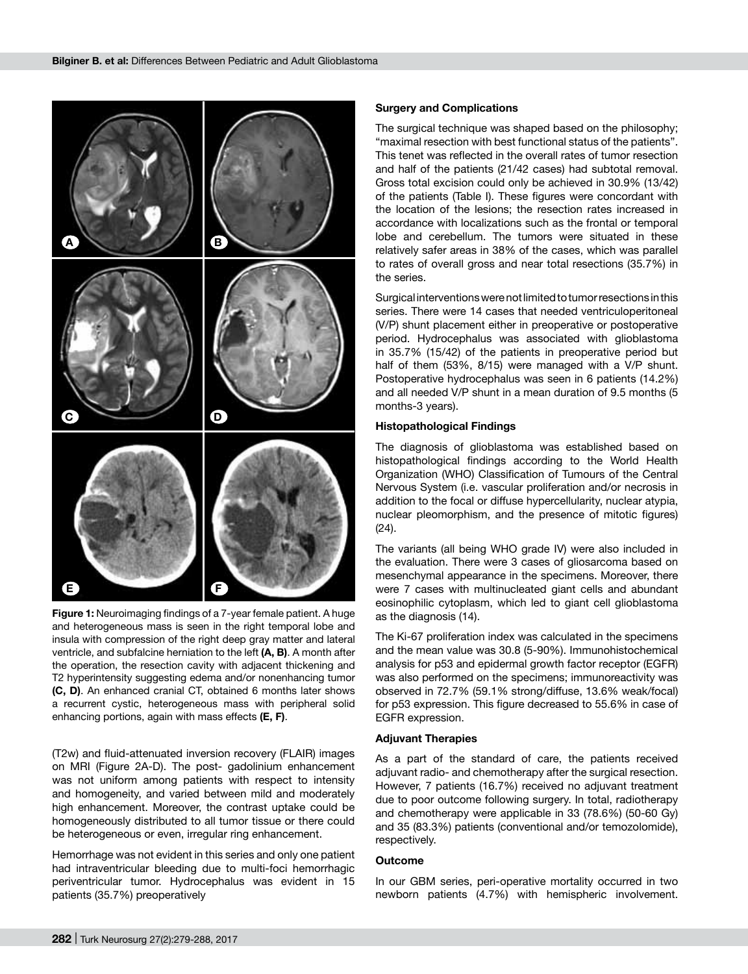

**Figure 1:** Neuroimaging findings of a 7-year female patient. A huge and heterogeneous mass is seen in the right temporal lobe and insula with compression of the right deep gray matter and lateral ventricle, and subfalcine herniation to the left **(A, B)**. A month after the operation, the resection cavity with adjacent thickening and T2 hyperintensity suggesting edema and/or nonenhancing tumor **(C, D)**. An enhanced cranial CT, obtained 6 months later shows a recurrent cystic, heterogeneous mass with peripheral solid enhancing portions, again with mass effects **(E, F)**.

(T2w) and fluid-attenuated inversion recovery (FLAIR) images on MRI (Figure 2A-D). The post- gadolinium enhancement was not uniform among patients with respect to intensity and homogeneity, and varied between mild and moderately high enhancement. Moreover, the contrast uptake could be homogeneously distributed to all tumor tissue or there could be heterogeneous or even, irregular ring enhancement.

Hemorrhage was not evident in this series and only one patient had intraventricular bleeding due to multi-foci hemorrhagic periventricular tumor. Hydrocephalus was evident in 15 patients (35.7%) preoperatively

#### **Surgery and Complications**

The surgical technique was shaped based on the philosophy; "maximal resection with best functional status of the patients". This tenet was reflected in the overall rates of tumor resection and half of the patients (21/42 cases) had subtotal removal. Gross total excision could only be achieved in 30.9% (13/42) of the patients (Table I). These figures were concordant with the location of the lesions; the resection rates increased in accordance with localizations such as the frontal or temporal lobe and cerebellum. The tumors were situated in these relatively safer areas in 38% of the cases, which was parallel to rates of overall gross and near total resections (35.7%) in the series.

Surgical interventions were not limited to tumor resections in this series. There were 14 cases that needed ventriculoperitoneal (V/P) shunt placement either in preoperative or postoperative period. Hydrocephalus was associated with glioblastoma in 35.7% (15/42) of the patients in preoperative period but half of them (53%, 8/15) were managed with a V/P shunt. Postoperative hydrocephalus was seen in 6 patients (14.2%) and all needed V/P shunt in a mean duration of 9.5 months (5 months-3 years).

#### **Histopathological Findings**

The diagnosis of glioblastoma was established based on histopathological findings according to the World Health Organization (WHO) Classification of Tumours of the Central Nervous System (i.e. vascular proliferation and/or necrosis in addition to the focal or diffuse hypercellularity, nuclear atypia, nuclear pleomorphism, and the presence of mitotic figures) (24).

The variants (all being WHO grade IV) were also included in the evaluation. There were 3 cases of gliosarcoma based on mesenchymal appearance in the specimens. Moreover, there were 7 cases with multinucleated giant cells and abundant eosinophilic cytoplasm, which led to giant cell glioblastoma as the diagnosis (14).

The Ki-67 proliferation index was calculated in the specimens and the mean value was 30.8 (5-90%). Immunohistochemical analysis for p53 and epidermal growth factor receptor (EGFR) was also performed on the specimens; immunoreactivity was observed in 72.7% (59.1% strong/diffuse, 13.6% weak/focal) for p53 expression. This figure decreased to 55.6% in case of EGFR expression.

#### **Adjuvant Therapies**

As a part of the standard of care, the patients received adjuvant radio- and chemotherapy after the surgical resection. However, 7 patients (16.7%) received no adjuvant treatment due to poor outcome following surgery. In total, radiotherapy and chemotherapy were applicable in 33 (78.6%) (50-60 Gy) and 35 (83.3%) patients (conventional and/or temozolomide), respectively.

#### **Outcome**

In our GBM series, peri-operative mortality occurred in two newborn patients (4.7%) with hemispheric involvement.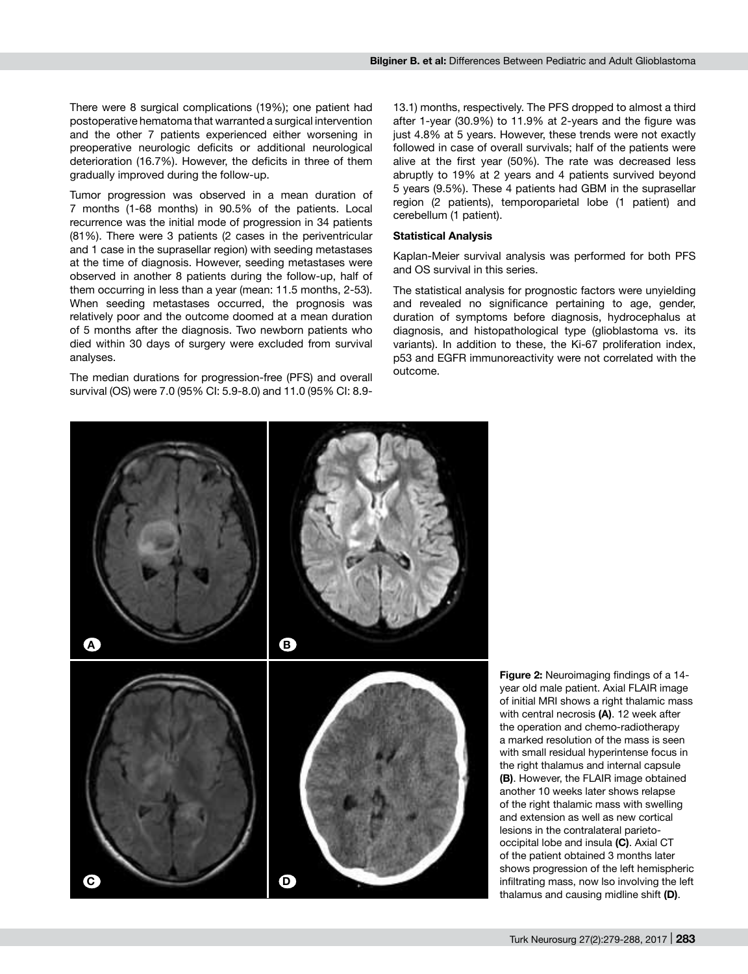There were 8 surgical complications (19%); one patient had postoperative hematoma that warranted a surgical intervention and the other 7 patients experienced either worsening in preoperative neurologic deficits or additional neurological deterioration (16.7%). However, the deficits in three of them gradually improved during the follow-up.

Tumor progression was observed in a mean duration of 7 months (1-68 months) in 90.5% of the patients. Local recurrence was the initial mode of progression in 34 patients (81%). There were 3 patients (2 cases in the periventricular and 1 case in the suprasellar region) with seeding metastases at the time of diagnosis. However, seeding metastases were observed in another 8 patients during the follow-up, half of them occurring in less than a year (mean: 11.5 months, 2-53). When seeding metastases occurred, the prognosis was relatively poor and the outcome doomed at a mean duration of 5 months after the diagnosis. Two newborn patients who died within 30 days of surgery were excluded from survival analyses.

The median durations for progression-free (PFS) and overall survival (OS) were 7.0 (95% CI: 5.9-8.0) and 11.0 (95% CI: 8.9-

13.1) months, respectively. The PFS dropped to almost a third after 1-year (30.9%) to 11.9% at 2-years and the figure was just 4.8% at 5 years. However, these trends were not exactly followed in case of overall survivals; half of the patients were alive at the first year (50%). The rate was decreased less abruptly to 19% at 2 years and 4 patients survived beyond 5 years (9.5%). These 4 patients had GBM in the suprasellar region (2 patients), temporoparietal lobe (1 patient) and cerebellum (1 patient).

#### **Statistical Analysis**

Kaplan-Meier survival analysis was performed for both PFS and OS survival in this series.

The statistical analysis for prognostic factors were unyielding and revealed no significance pertaining to age, gender, duration of symptoms before diagnosis, hydrocephalus at diagnosis, and histopathological type (glioblastoma vs. its variants). In addition to these, the Ki-67 proliferation index, p53 and EGFR immunoreactivity were not correlated with the outcome.



**Figure 2:** Neuroimaging findings of a 14 year old male patient. Axial FLAIR image of initial MRI shows a right thalamic mass with central necrosis **(A)**. 12 week after the operation and chemo-radiotherapy a marked resolution of the mass is seen with small residual hyperintense focus in the right thalamus and internal capsule **(B)**. However, the FLAIR image obtained another 10 weeks later shows relapse of the right thalamic mass with swelling and extension as well as new cortical lesions in the contralateral parietooccipital lobe and insula **(C)**. Axial CT of the patient obtained 3 months later shows progression of the left hemispheric infiltrating mass, now lso involving the left thalamus and causing midline shift **(D)**.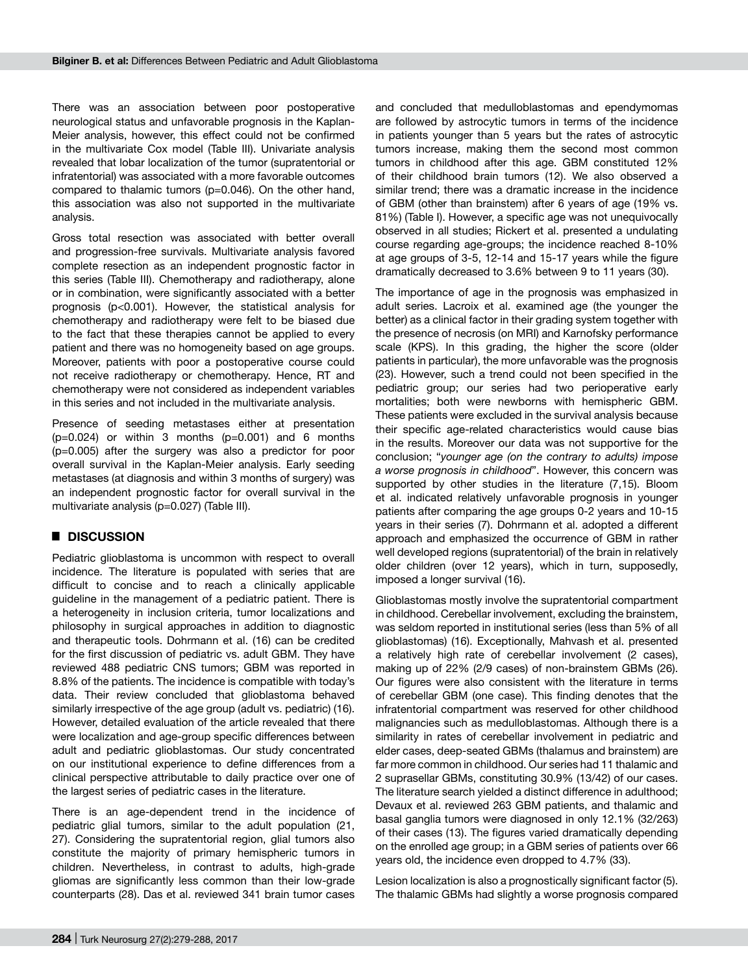There was an association between poor postoperative neurological status and unfavorable prognosis in the Kaplan-Meier analysis, however, this effect could not be confirmed in the multivariate Cox model (Table III). Univariate analysis revealed that lobar localization of the tumor (supratentorial or infratentorial) was associated with a more favorable outcomes compared to thalamic tumors (p=0.046). On the other hand, this association was also not supported in the multivariate analysis.

Gross total resection was associated with better overall and progression-free survivals. Multivariate analysis favored complete resection as an independent prognostic factor in this series (Table III). Chemotherapy and radiotherapy, alone or in combination, were significantly associated with a better prognosis (p<0.001). However, the statistical analysis for chemotherapy and radiotherapy were felt to be biased due to the fact that these therapies cannot be applied to every patient and there was no homogeneity based on age groups. Moreover, patients with poor a postoperative course could not receive radiotherapy or chemotherapy. Hence, RT and chemotherapy were not considered as independent variables in this series and not included in the multivariate analysis.

Presence of seeding metastases either at presentation  $(p=0.024)$  or within 3 months  $(p=0.001)$  and 6 months (p=0.005) after the surgery was also a predictor for poor overall survival in the Kaplan-Meier analysis. Early seeding metastases (at diagnosis and within 3 months of surgery) was an independent prognostic factor for overall survival in the multivariate analysis (p=0.027) (Table III).

## █ **Discussion**

Pediatric glioblastoma is uncommon with respect to overall incidence. The literature is populated with series that are difficult to concise and to reach a clinically applicable guideline in the management of a pediatric patient. There is a heterogeneity in inclusion criteria, tumor localizations and philosophy in surgical approaches in addition to diagnostic and therapeutic tools. Dohrmann et al. (16) can be credited for the first discussion of pediatric vs. adult GBM. They have reviewed 488 pediatric CNS tumors; GBM was reported in 8.8% of the patients. The incidence is compatible with today's data. Their review concluded that glioblastoma behaved similarly irrespective of the age group (adult vs. pediatric) (16). However, detailed evaluation of the article revealed that there were localization and age-group specific differences between adult and pediatric glioblastomas. Our study concentrated on our institutional experience to define differences from a clinical perspective attributable to daily practice over one of the largest series of pediatric cases in the literature.

There is an age-dependent trend in the incidence of pediatric glial tumors, similar to the adult population (21, 27). Considering the supratentorial region, glial tumors also constitute the majority of primary hemispheric tumors in children. Nevertheless, in contrast to adults, high-grade gliomas are significantly less common than their low-grade counterparts (28). Das et al. reviewed 341 brain tumor cases and concluded that medulloblastomas and ependymomas are followed by astrocytic tumors in terms of the incidence in patients younger than 5 years but the rates of astrocytic tumors increase, making them the second most common tumors in childhood after this age. GBM constituted 12% of their childhood brain tumors (12). We also observed a similar trend; there was a dramatic increase in the incidence of GBM (other than brainstem) after 6 years of age (19% vs. 81%) (Table I). However, a specific age was not unequivocally observed in all studies; Rickert et al. presented a undulating course regarding age-groups; the incidence reached 8-10% at age groups of 3-5, 12-14 and 15-17 years while the figure dramatically decreased to 3.6% between 9 to 11 years (30).

The importance of age in the prognosis was emphasized in adult series. Lacroix et al. examined age (the younger the better) as a clinical factor in their grading system together with the presence of necrosis (on MRI) and Karnofsky performance scale (KPS). In this grading, the higher the score (older patients in particular), the more unfavorable was the prognosis (23). However, such a trend could not been specified in the pediatric group; our series had two perioperative early mortalities; both were newborns with hemispheric GBM. These patients were excluded in the survival analysis because their specific age-related characteristics would cause bias in the results. Moreover our data was not supportive for the conclusion; "*younger age (on the contrary to adults) impose a worse prognosis in childhood*". However, this concern was supported by other studies in the literature (7,15). Bloom et al. indicated relatively unfavorable prognosis in younger patients after comparing the age groups 0-2 years and 10-15 years in their series (7). Dohrmann et al. adopted a different approach and emphasized the occurrence of GBM in rather well developed regions (supratentorial) of the brain in relatively older children (over 12 years), which in turn, supposedly, imposed a longer survival (16).

Glioblastomas mostly involve the supratentorial compartment in childhood. Cerebellar involvement, excluding the brainstem, was seldom reported in institutional series (less than 5% of all glioblastomas) (16). Exceptionally, Mahvash et al. presented a relatively high rate of cerebellar involvement (2 cases), making up of 22% (2/9 cases) of non-brainstem GBMs (26). Our figures were also consistent with the literature in terms of cerebellar GBM (one case). This finding denotes that the infratentorial compartment was reserved for other childhood malignancies such as medulloblastomas. Although there is a similarity in rates of cerebellar involvement in pediatric and elder cases, deep-seated GBMs (thalamus and brainstem) are far more common in childhood. Our series had 11 thalamic and 2 suprasellar GBMs, constituting 30.9% (13/42) of our cases. The literature search yielded a distinct difference in adulthood; Devaux et al. reviewed 263 GBM patients, and thalamic and basal ganglia tumors were diagnosed in only 12.1% (32/263) of their cases (13). The figures varied dramatically depending on the enrolled age group; in a GBM series of patients over 66 years old, the incidence even dropped to 4.7% (33).

Lesion localization is also a prognostically significant factor (5). The thalamic GBMs had slightly a worse prognosis compared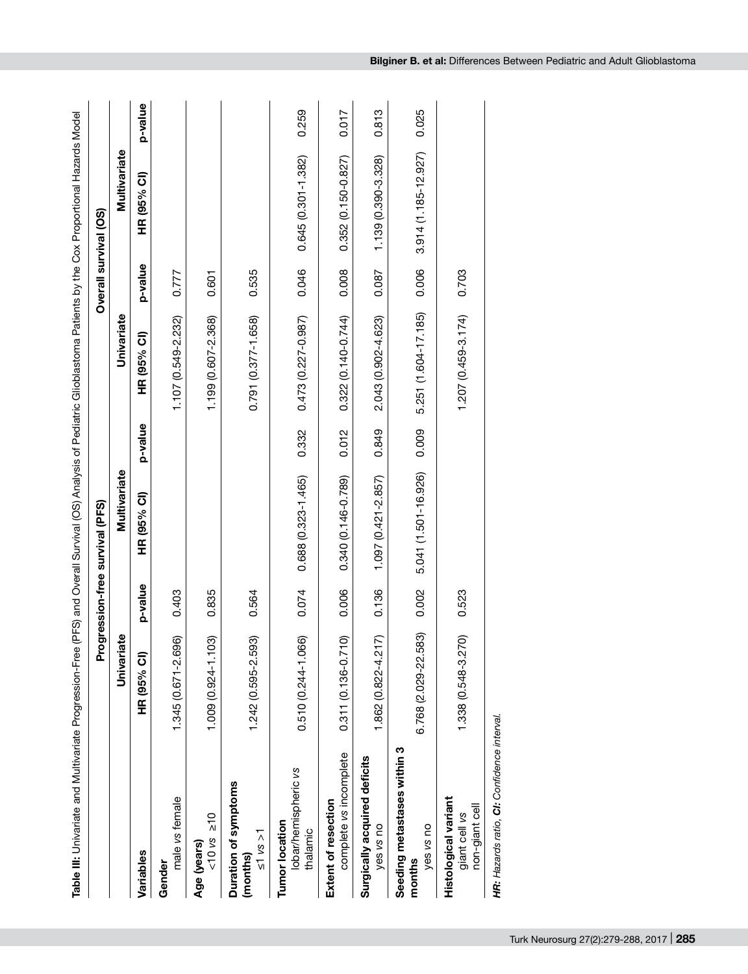| Table III: Univariate and Multivariate Progression-Free (PFS) and Overall Survival (OS) Analysis of Pediatric Glioblastoma Patients by the Cox Proportional Hazards Model |                        |         |                                 |         |                        |         |                        |         |
|---------------------------------------------------------------------------------------------------------------------------------------------------------------------------|------------------------|---------|---------------------------------|---------|------------------------|---------|------------------------|---------|
|                                                                                                                                                                           |                        |         | Progression-free survival (PFS) |         |                        |         | Overall survival (OS)  |         |
|                                                                                                                                                                           | iate<br>Univari        |         | Multivariate                    |         | Univariate             |         | Multivariate           |         |
| Variables                                                                                                                                                                 | HR (95% CI)            | p-value | HR (95% CI)                     | p-value | HR (95% CI)            | p-value | HR (95% CI)            | p-value |
| male vs female<br>Gender                                                                                                                                                  | 1.345 (0.671-2.696)    | 0.403   |                                 |         | 1.107 (0.549-2.232)    | 0.777   |                        |         |
| $10 \text{ vs } 210$<br>Age (years)                                                                                                                                       | ලි<br>1.009 (0.924-1.1 | 0.835   |                                 |         | 1.199 (0.607-2.368)    | 0.601   |                        |         |
| Duration of symptoms<br>$\leq 1$ vs $>1$<br>(months)                                                                                                                      | 1.242 (0.595-2.593)    | 0.564   |                                 |         | 0.791 (0.377-1.658)    | 0.535   |                        |         |
| lobar/hemispheric vs<br><b>Tumor location</b><br>thalamic                                                                                                                 | 0.510 (0.244-1.066)    | 0.074   | 0.688 (0.323-1.465)             | 0.332   | $0.473(0.227 - 0.987)$ | 0.046   | $0.645(0.301 - 1.382)$ | 0.259   |
| complete vs incomplete<br>Extent of resection                                                                                                                             | 0.311 (0.136-0.710)    | 0.006   | 0.340 (0.146-0.789)             | 0.012   | $0.322(0.140 - 0.744)$ | 0.008   | 0.352 (0.150-0.827)    | 0.017   |
| Surgically acquired deficits<br>yes vs no                                                                                                                                 | 1.862 (0.822-4.217)    | 0.136   | $1.097(0.421 - 2.857)$          | 0.849   | 2.043 (0.902-4.623)    | 0.087   | 1.139 (0.390-3.328)    | 0.813   |
| Seeding metastases within 3<br>yes vs no<br>months                                                                                                                        | 6.768 (2.029-22.583)   | 0.002   | 5.041 (1.501-16.926)            | 0.009   | 5.251 (1.604-17.185)   | 0.006   | 3.914 (1.185-12.927)   | 0.025   |
| Histological variant<br>non-giant cell<br>giant cell vs                                                                                                                   | 1.338 (0.548-3.270)    | 0.523   |                                 |         | 1.207 (0.459-3.174)    | 0.703   |                        |         |
| HR: Hazards ratio, CI: Confidence interval.                                                                                                                               |                        |         |                                 |         |                        |         |                        |         |

gression-Free (PFS) and Overall Survival (OS) Analysis of Pediatric Glioblastoma Patients by the Cox Proportional Hazards Model **Table III:** Univariate and Multivariate Progression-Free (PFS) and Overall Survival (OS) Analysis of Pediatric Glioblastoma Patients by the Cox Proportional Hazards Model á orioto  $\overline{d}$  Multis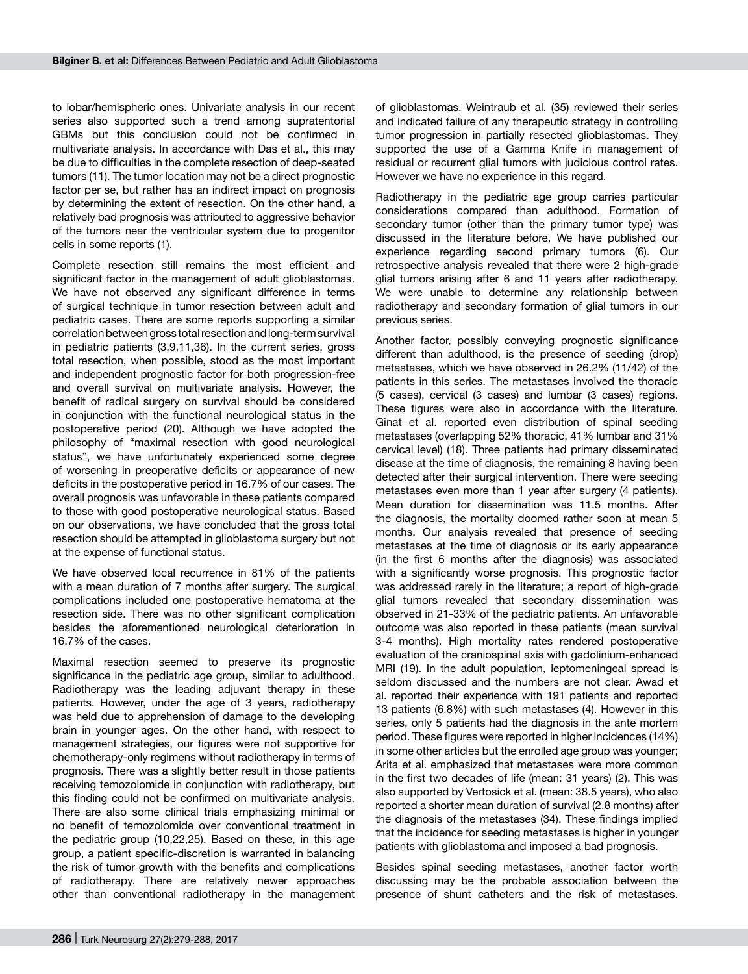to lobar/hemispheric ones. Univariate analysis in our recent series also supported such a trend among supratentorial GBMs but this conclusion could not be confirmed in multivariate analysis. In accordance with Das et al., this may be due to difficulties in the complete resection of deep-seated tumors (11). The tumor location may not be a direct prognostic factor per se, but rather has an indirect impact on prognosis by determining the extent of resection. On the other hand, a relatively bad prognosis was attributed to aggressive behavior of the tumors near the ventricular system due to progenitor cells in some reports (1).

Complete resection still remains the most efficient and significant factor in the management of adult glioblastomas. We have not observed any significant difference in terms of surgical technique in tumor resection between adult and pediatric cases. There are some reports supporting a similar correlation between gross total resection and long-term survival in pediatric patients (3,9,11,36). In the current series, gross total resection, when possible, stood as the most important and independent prognostic factor for both progression-free and overall survival on multivariate analysis. However, the benefit of radical surgery on survival should be considered in conjunction with the functional neurological status in the postoperative period (20). Although we have adopted the philosophy of "maximal resection with good neurological status", we have unfortunately experienced some degree of worsening in preoperative deficits or appearance of new deficits in the postoperative period in 16.7% of our cases. The overall prognosis was unfavorable in these patients compared to those with good postoperative neurological status. Based on our observations, we have concluded that the gross total resection should be attempted in glioblastoma surgery but not at the expense of functional status.

We have observed local recurrence in 81% of the patients with a mean duration of 7 months after surgery. The surgical complications included one postoperative hematoma at the resection side. There was no other significant complication besides the aforementioned neurological deterioration in 16.7% of the cases.

Maximal resection seemed to preserve its prognostic significance in the pediatric age group, similar to adulthood. Radiotherapy was the leading adjuvant therapy in these patients. However, under the age of 3 years, radiotherapy was held due to apprehension of damage to the developing brain in younger ages. On the other hand, with respect to management strategies, our figures were not supportive for chemotherapy-only regimens without radiotherapy in terms of prognosis. There was a slightly better result in those patients receiving temozolomide in conjunction with radiotherapy, but this finding could not be confirmed on multivariate analysis. There are also some clinical trials emphasizing minimal or no benefit of temozolomide over conventional treatment in the pediatric group (10,22,25). Based on these, in this age group, a patient specific-discretion is warranted in balancing the risk of tumor growth with the benefits and complications of radiotherapy. There are relatively newer approaches other than conventional radiotherapy in the management of glioblastomas. Weintraub et al. (35) reviewed their series and indicated failure of any therapeutic strategy in controlling tumor progression in partially resected glioblastomas. They supported the use of a Gamma Knife in management of residual or recurrent glial tumors with judicious control rates. However we have no experience in this regard.

Radiotherapy in the pediatric age group carries particular considerations compared than adulthood. Formation of secondary tumor (other than the primary tumor type) was discussed in the literature before. We have published our experience regarding second primary tumors (6). Our retrospective analysis revealed that there were 2 high-grade glial tumors arising after 6 and 11 years after radiotherapy. We were unable to determine any relationship between radiotherapy and secondary formation of glial tumors in our previous series.

Another factor, possibly conveying prognostic significance different than adulthood, is the presence of seeding (drop) metastases, which we have observed in 26.2% (11/42) of the patients in this series. The metastases involved the thoracic (5 cases), cervical (3 cases) and lumbar (3 cases) regions. These figures were also in accordance with the literature. Ginat et al. reported even distribution of spinal seeding metastases (overlapping 52% thoracic, 41% lumbar and 31% cervical level) (18). Three patients had primary disseminated disease at the time of diagnosis, the remaining 8 having been detected after their surgical intervention. There were seeding metastases even more than 1 year after surgery (4 patients). Mean duration for dissemination was 11.5 months. After the diagnosis, the mortality doomed rather soon at mean 5 months. Our analysis revealed that presence of seeding metastases at the time of diagnosis or its early appearance (in the first 6 months after the diagnosis) was associated with a significantly worse prognosis. This prognostic factor was addressed rarely in the literature; a report of high-grade glial tumors revealed that secondary dissemination was observed in 21-33% of the pediatric patients. An unfavorable outcome was also reported in these patients (mean survival 3-4 months). High mortality rates rendered postoperative evaluation of the craniospinal axis with gadolinium-enhanced MRI (19). In the adult population, leptomeningeal spread is seldom discussed and the numbers are not clear. Awad et al. reported their experience with 191 patients and reported 13 patients (6.8%) with such metastases (4). However in this series, only 5 patients had the diagnosis in the ante mortem period. These figures were reported in higher incidences (14%) in some other articles but the enrolled age group was younger; Arita et al. emphasized that metastases were more common in the first two decades of life (mean: 31 years) (2). This was also supported by Vertosick et al. (mean: 38.5 years), who also reported a shorter mean duration of survival (2.8 months) after the diagnosis of the metastases (34). These findings implied that the incidence for seeding metastases is higher in younger patients with glioblastoma and imposed a bad prognosis.

Besides spinal seeding metastases, another factor worth discussing may be the probable association between the presence of shunt catheters and the risk of metastases.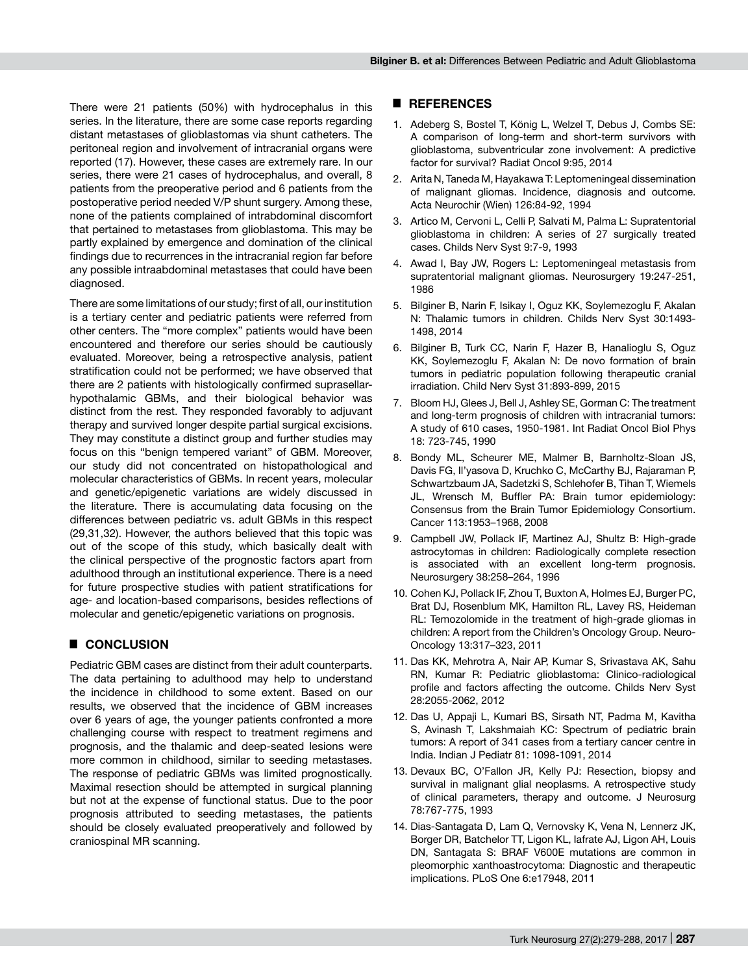There were 21 patients (50%) with hydrocephalus in this series. In the literature, there are some case reports regarding distant metastases of glioblastomas via shunt catheters. The peritoneal region and involvement of intracranial organs were reported (17). However, these cases are extremely rare. In our series, there were 21 cases of hydrocephalus, and overall, 8 patients from the preoperative period and 6 patients from the postoperative period needed V/P shunt surgery. Among these, none of the patients complained of intrabdominal discomfort that pertained to metastases from glioblastoma. This may be partly explained by emergence and domination of the clinical findings due to recurrences in the intracranial region far before any possible intraabdominal metastases that could have been diagnosed.

There are some limitations of our study; first of all, our institution is a tertiary center and pediatric patients were referred from other centers. The "more complex" patients would have been encountered and therefore our series should be cautiously evaluated. Moreover, being a retrospective analysis, patient stratification could not be performed; we have observed that there are 2 patients with histologically confirmed suprasellarhypothalamic GBMs, and their biological behavior was distinct from the rest. They responded favorably to adjuvant therapy and survived longer despite partial surgical excisions. They may constitute a distinct group and further studies may focus on this "benign tempered variant" of GBM. Moreover, our study did not concentrated on histopathological and molecular characteristics of GBMs. In recent years, molecular and genetic/epigenetic variations are widely discussed in the literature. There is accumulating data focusing on the differences between pediatric vs. adult GBMs in this respect (29,31,32). However, the authors believed that this topic was out of the scope of this study, which basically dealt with the clinical perspective of the prognostic factors apart from adulthood through an institutional experience. There is a need for future prospective studies with patient stratifications for age- and location-based comparisons, besides reflections of molecular and genetic/epigenetic variations on prognosis.

## █ **Conclusion**

Pediatric GBM cases are distinct from their adult counterparts. The data pertaining to adulthood may help to understand the incidence in childhood to some extent. Based on our results, we observed that the incidence of GBM increases over 6 years of age, the younger patients confronted a more challenging course with respect to treatment regimens and prognosis, and the thalamic and deep-seated lesions were more common in childhood, similar to seeding metastases. The response of pediatric GBMs was limited prognostically. Maximal resection should be attempted in surgical planning but not at the expense of functional status. Due to the poor prognosis attributed to seeding metastases, the patients should be closely evaluated preoperatively and followed by craniospinal MR scanning.

#### █ **References**

- 1. Adeberg S, Bostel T, König L, Welzel T, Debus J, Combs SE: A comparison of long-term and short-term survivors with glioblastoma, subventricular zone involvement: A predictive factor for survival? Radiat Oncol 9:95, 2014
- 2. Arita N, Taneda M, Hayakawa T: Leptomeningeal dissemination of malignant gliomas. Incidence, diagnosis and outcome. Acta Neurochir (Wien) 126:84-92, 1994
- 3. Artico M, Cervoni L, Celli P, Salvati M, Palma L: Supratentorial glioblastoma in children: A series of 27 surgically treated cases. Childs Nerv Syst 9:7-9, 1993
- 4. Awad I, Bay JW, Rogers L: Leptomeningeal metastasis from supratentorial malignant gliomas. Neurosurgery 19:247-251, 1986
- 5. Bilginer B, Narin F, Isikay I, Oguz KK, Soylemezoglu F, Akalan N: Thalamic tumors in children. Childs Nerv Syst 30:1493- 1498, 2014
- 6. Bilginer B, Turk CC, Narin F, Hazer B, Hanalioglu S, Oguz KK, Soylemezoglu F, Akalan N: De novo formation of brain tumors in pediatric population following therapeutic cranial irradiation. Child Nerv Syst 31:893-899, 2015
- 7. Bloom HJ, Glees J, Bell J, Ashley SE, Gorman C: The treatment and long-term prognosis of children with intracranial tumors: A study of 610 cases, 1950-1981. Int Radiat Oncol Biol Phys 18: 723-745, 1990
- 8. Bondy ML, Scheurer ME, Malmer B, Barnholtz-Sloan JS, Davis FG, Il'yasova D, Kruchko C, McCarthy BJ, Rajaraman P, Schwartzbaum JA, Sadetzki S, Schlehofer B, Tihan T, Wiemels JL, Wrensch M, Buffler PA: Brain tumor epidemiology: Consensus from the Brain Tumor Epidemiology Consortium. Cancer 113:1953–1968, 2008
- 9. Campbell JW, Pollack IF, Martinez AJ, Shultz B: High-grade astrocytomas in children: Radiologically complete resection is associated with an excellent long-term prognosis. Neurosurgery 38:258–264, 1996
- 10. Cohen KJ, Pollack IF, Zhou T, Buxton A, Holmes EJ, Burger PC, Brat DJ, Rosenblum MK, Hamilton RL, Lavey RS, Heideman RL: Temozolomide in the treatment of high-grade gliomas in children: A report from the Children's Oncology Group. Neuro-Oncology 13:317–323, 2011
- 11. Das KK, Mehrotra A, Nair AP, Kumar S, Srivastava AK, Sahu RN, Kumar R: Pediatric glioblastoma: Clinico-radiological profile and factors affecting the outcome. Childs Nerv Syst 28:2055-2062, 2012
- 12. Das U, Appaji L, Kumari BS, Sirsath NT, Padma M, Kavitha S, Avinash T, Lakshmaiah KC: Spectrum of pediatric brain tumors: A report of 341 cases from a tertiary cancer centre in India. Indian J Pediatr 81: 1098-1091, 2014
- 13. Devaux BC, O'Fallon JR, Kelly PJ: Resection, biopsy and survival in malignant glial neoplasms. A retrospective study of clinical parameters, therapy and outcome. J Neurosurg 78:767-775, 1993
- 14. Dias-Santagata D, Lam Q, Vernovsky K, Vena N, Lennerz JK, Borger DR, Batchelor TT, Ligon KL, Iafrate AJ, Ligon AH, Louis DN, Santagata S: BRAF V600E mutations are common in pleomorphic xanthoastrocytoma: Diagnostic and therapeutic implications. PLoS One 6:e17948, 2011